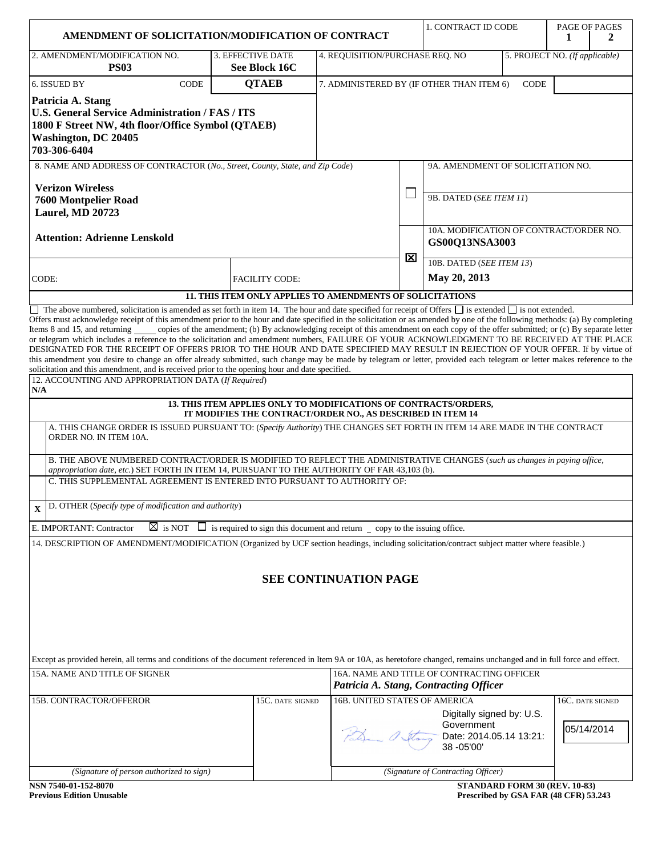| AMENDMENT OF SOLICITATION/MODIFICATION OF CONTRACT                                                                                                                                                                                                                                                                                                                                                                                                                                                                                                                                                                                                          |                                                                                                                                        |                                                                   |   | 1. CONTRACT ID CODE                                                                  |                               | PAGE OF PAGES                         |
|-------------------------------------------------------------------------------------------------------------------------------------------------------------------------------------------------------------------------------------------------------------------------------------------------------------------------------------------------------------------------------------------------------------------------------------------------------------------------------------------------------------------------------------------------------------------------------------------------------------------------------------------------------------|----------------------------------------------------------------------------------------------------------------------------------------|-------------------------------------------------------------------|---|--------------------------------------------------------------------------------------|-------------------------------|---------------------------------------|
| 2. AMENDMENT/MODIFICATION NO.                                                                                                                                                                                                                                                                                                                                                                                                                                                                                                                                                                                                                               |                                                                                                                                        |                                                                   |   |                                                                                      |                               | 1<br>2                                |
| <b>PS03</b>                                                                                                                                                                                                                                                                                                                                                                                                                                                                                                                                                                                                                                                 | 3. EFFECTIVE DATE<br>See Block 16C                                                                                                     | 4. REQUISITION/PURCHASE REQ. NO<br>5. PROJECT NO. (If applicable) |   |                                                                                      |                               |                                       |
| CODE<br>6. ISSUED BY                                                                                                                                                                                                                                                                                                                                                                                                                                                                                                                                                                                                                                        | <b>QTAEB</b>                                                                                                                           | 7. ADMINISTERED BY (IF OTHER THAN ITEM 6)<br><b>CODE</b>          |   |                                                                                      |                               |                                       |
| Patricia A. Stang<br>U.S. General Service Administration / FAS / ITS<br>1800 F Street NW, 4th floor/Office Symbol (QTAEB)<br><b>Washington, DC 20405</b><br>703-306-6404                                                                                                                                                                                                                                                                                                                                                                                                                                                                                    |                                                                                                                                        |                                                                   |   |                                                                                      |                               |                                       |
| 8. NAME AND ADDRESS OF CONTRACTOR (No., Street, County, State, and Zip Code)                                                                                                                                                                                                                                                                                                                                                                                                                                                                                                                                                                                |                                                                                                                                        |                                                                   |   | 9A. AMENDMENT OF SOLICITATION NO.                                                    |                               |                                       |
| <b>Verizon Wireless</b><br><b>7600 Montpelier Road</b><br><b>Laurel, MD 20723</b>                                                                                                                                                                                                                                                                                                                                                                                                                                                                                                                                                                           |                                                                                                                                        |                                                                   |   | 9B. DATED (SEE ITEM 11)                                                              |                               |                                       |
| <b>Attention: Adrienne Lenskold</b>                                                                                                                                                                                                                                                                                                                                                                                                                                                                                                                                                                                                                         |                                                                                                                                        |                                                                   | ⊠ | 10A. MODIFICATION OF CONTRACT/ORDER NO.<br>GS00Q13NSA3003                            |                               |                                       |
| CODE:                                                                                                                                                                                                                                                                                                                                                                                                                                                                                                                                                                                                                                                       | <b>FACILITY CODE:</b>                                                                                                                  |                                                                   |   | 10B. DATED (SEE ITEM 13)<br>May 20, 2013                                             |                               |                                       |
| <b>11. THIS ITEM ONLY APPLIES TO AMENDMENTS OF SOLICITATIONS</b><br>$\Box$ The above numbered, solicitation is amended as set forth in item 14. The hour and date specified for receipt of Offers $\Box$ is extended $\Box$ is not extended.                                                                                                                                                                                                                                                                                                                                                                                                                |                                                                                                                                        |                                                                   |   |                                                                                      |                               |                                       |
| Items 8 and 15, and returning<br>or telegram which includes a reference to the solicitation and amendment numbers, FAILURE OF YOUR ACKNOWLEDGMENT TO BE RECEIVED AT THE PLACE<br>DESIGNATED FOR THE RECEIPT OF OFFERS PRIOR TO THE HOUR AND DATE SPECIFIED MAY RESULT IN REJECTION OF YOUR OFFER. If by virtue of<br>this amendment you desire to change an offer already submitted, such change may be made by telegram or letter, provided each telegram or letter makes reference to the<br>solicitation and this amendment, and is received prior to the opening hour and date specified.<br>12. ACCOUNTING AND APPROPRIATION DATA (If Required)<br>N/A | copies of the amendment; (b) By acknowledging receipt of this amendment on each copy of the offer submitted; or (c) By separate letter |                                                                   |   |                                                                                      |                               |                                       |
|                                                                                                                                                                                                                                                                                                                                                                                                                                                                                                                                                                                                                                                             | 13. THIS ITEM APPLIES ONLY TO MODIFICATIONS OF CONTRACTS/ORDERS,<br>IT MODIFIES THE CONTRACT/ORDER NO., AS DESCRIBED IN ITEM 14        |                                                                   |   |                                                                                      |                               |                                       |
| A. THIS CHANGE ORDER IS ISSUED PURSUANT TO: (Specify Authority) THE CHANGES SET FORTH IN ITEM 14 ARE MADE IN THE CONTRACT<br>ORDER NO. IN ITEM 10A.<br>B. THE ABOVE NUMBERED CONTRACT/ORDER IS MODIFIED TO REFLECT THE ADMINISTRATIVE CHANGES (such as changes in paying office,<br>appropriation date, etc.) SET FORTH IN ITEM 14, PURSUANT TO THE AUTHORITY OF FAR 43,103 (b).                                                                                                                                                                                                                                                                            |                                                                                                                                        |                                                                   |   |                                                                                      |                               |                                       |
| C. THIS SUPPLEMENTAL AGREEMENT IS ENTERED INTO PURSUANT TO AUTHORITY OF:                                                                                                                                                                                                                                                                                                                                                                                                                                                                                                                                                                                    |                                                                                                                                        |                                                                   |   |                                                                                      |                               |                                       |
| D. OTHER (Specify type of modification and authority)<br>$\mathbf{x}$                                                                                                                                                                                                                                                                                                                                                                                                                                                                                                                                                                                       |                                                                                                                                        |                                                                   |   |                                                                                      |                               |                                       |
| E. IMPORTANT: Contractor                                                                                                                                                                                                                                                                                                                                                                                                                                                                                                                                                                                                                                    | $\overline{\boxtimes}$ is NOT $\Box$ is required to sign this document and return $\Box$ copy to the issuing office.                   |                                                                   |   |                                                                                      |                               |                                       |
| 14. DESCRIPTION OF AMENDMENT/MODIFICATION (Organized by UCF section headings, including solicitation/contract subject matter where feasible.)                                                                                                                                                                                                                                                                                                                                                                                                                                                                                                               |                                                                                                                                        |                                                                   |   |                                                                                      |                               |                                       |
|                                                                                                                                                                                                                                                                                                                                                                                                                                                                                                                                                                                                                                                             |                                                                                                                                        | <b>SEE CONTINUATION PAGE</b>                                      |   |                                                                                      |                               |                                       |
| Except as provided herein, all terms and conditions of the document referenced in Item 9A or 10A, as heretofore changed, remains unchanged and in full force and effect.                                                                                                                                                                                                                                                                                                                                                                                                                                                                                    |                                                                                                                                        |                                                                   |   |                                                                                      |                               |                                       |
| 15A. NAME AND TITLE OF SIGNER                                                                                                                                                                                                                                                                                                                                                                                                                                                                                                                                                                                                                               |                                                                                                                                        |                                                                   |   | 16A. NAME AND TITLE OF CONTRACTING OFFICER<br>Patricia A. Stang, Contracting Officer |                               |                                       |
| 15B. CONTRACTOR/OFFEROR                                                                                                                                                                                                                                                                                                                                                                                                                                                                                                                                                                                                                                     | 15C. DATE SIGNED                                                                                                                       | 16B. UNITED STATES OF AMERICA                                     |   | Digitally signed by: U.S.<br>Government<br>Date: 2014.05.14 13:21:<br>38 - 05'00'    |                               | 16C. DATE SIGNED<br>05/14/2014        |
| (Signature of person authorized to sign)                                                                                                                                                                                                                                                                                                                                                                                                                                                                                                                                                                                                                    |                                                                                                                                        |                                                                   |   | (Signature of Contracting Officer)                                                   |                               |                                       |
| NSN 7540-01-152-8070<br><b>Previous Edition Unusable</b>                                                                                                                                                                                                                                                                                                                                                                                                                                                                                                                                                                                                    |                                                                                                                                        |                                                                   |   |                                                                                      | STANDARD FORM 30 (REV. 10-83) | Prescribed by GSA FAR (48 CFR) 53.243 |